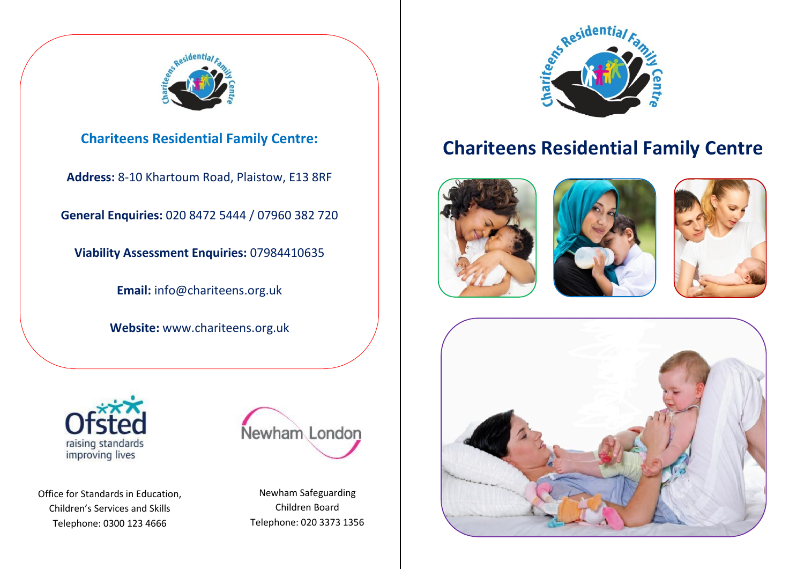

**Address:** 8-10 Khartoum Road, Plaistow, E13 8RF

**General Enquiries:** 020 8472 5444 / 07960 382 720

**Viability Assessment Enquiries:** 07984410635

**Email:** info@chariteens.org.uk

**Website:** www.chariteens.org.uk



Office for Standards in Education, Children's Services and Skills Telephone: 0300 123 4666



Newham Safeguarding Children Board Telephone: 020 3373 1356



## **Chariteens Residential Family Centre Chariteens Residential Family Centre:**